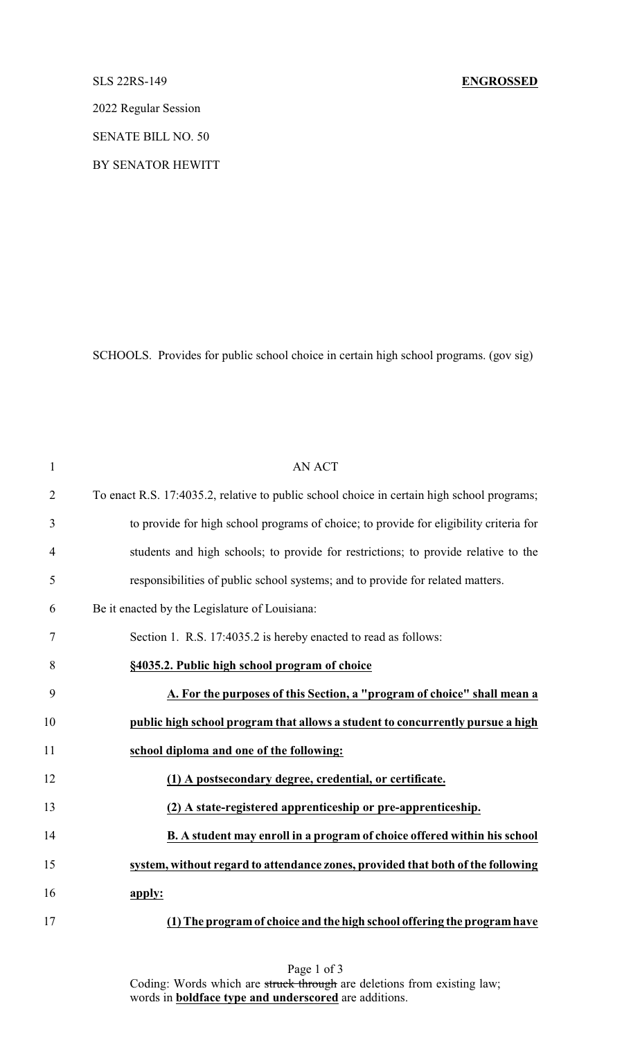## SLS 22RS-149 **ENGROSSED**

2022 Regular Session

SENATE BILL NO. 50

BY SENATOR HEWITT

SCHOOLS. Provides for public school choice in certain high school programs. (gov sig)

| $\mathbf{1}$   | <b>AN ACT</b>                                                                              |
|----------------|--------------------------------------------------------------------------------------------|
| $\overline{2}$ | To enact R.S. 17:4035.2, relative to public school choice in certain high school programs; |
| 3              | to provide for high school programs of choice; to provide for eligibility criteria for     |
| $\overline{4}$ | students and high schools; to provide for restrictions; to provide relative to the         |
| 5              | responsibilities of public school systems; and to provide for related matters.             |
| 6              | Be it enacted by the Legislature of Louisiana:                                             |
| 7              | Section 1. R.S. 17:4035.2 is hereby enacted to read as follows:                            |
| 8              | §4035.2. Public high school program of choice                                              |
| 9              | A. For the purposes of this Section, a "program of choice" shall mean a                    |
| 10             | public high school program that allows a student to concurrently pursue a high             |
| 11             | school diploma and one of the following:                                                   |
| 12             | (1) A postsecondary degree, credential, or certificate.                                    |
| 13             | (2) A state-registered apprenticeship or pre-apprenticeship.                               |
| 14             | B. A student may enroll in a program of choice offered within his school                   |
| 15             | system, without regard to attendance zones, provided that both of the following            |
| 16             | apply:                                                                                     |
| 17             | (1) The program of choice and the high school offering the program have                    |

Page 1 of 3 Coding: Words which are struck through are deletions from existing law; words in **boldface type and underscored** are additions.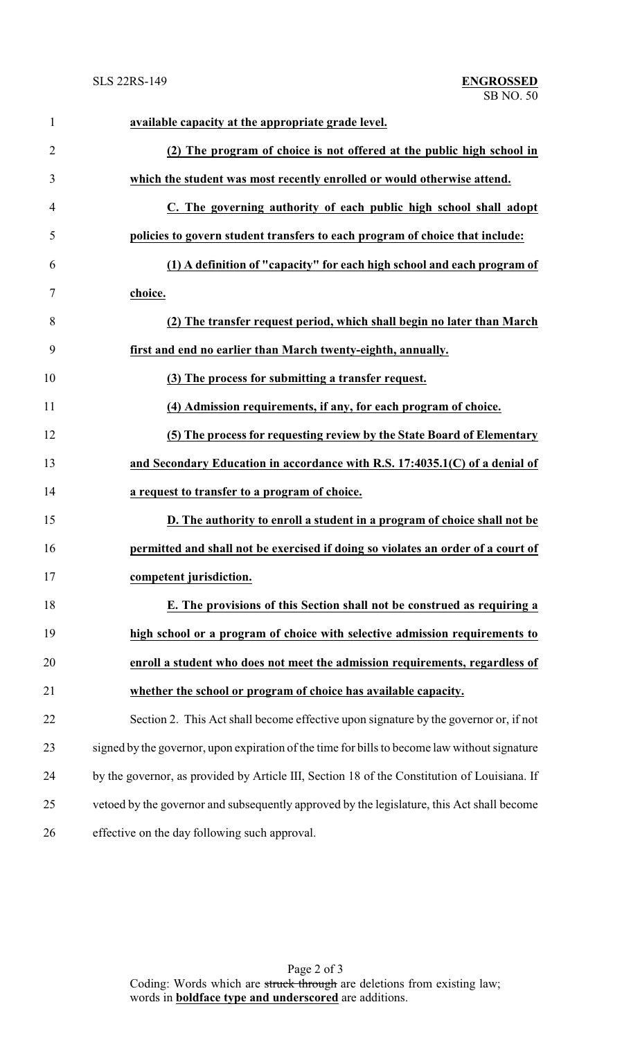| $\mathbf{1}$   | available capacity at the appropriate grade level.                                            |
|----------------|-----------------------------------------------------------------------------------------------|
| $\overline{2}$ | (2) The program of choice is not offered at the public high school in                         |
| 3              | which the student was most recently enrolled or would otherwise attend.                       |
| $\overline{4}$ | C. The governing authority of each public high school shall adopt                             |
| 5              | policies to govern student transfers to each program of choice that include:                  |
| 6              | (1) A definition of "capacity" for each high school and each program of                       |
| 7              | choice.                                                                                       |
| 8              | (2) The transfer request period, which shall begin no later than March                        |
| 9              | first and end no earlier than March twenty-eighth, annually.                                  |
| 10             | (3) The process for submitting a transfer request.                                            |
| 11             | (4) Admission requirements, if any, for each program of choice.                               |
| 12             | (5) The process for requesting review by the State Board of Elementary                        |
| 13             | and Secondary Education in accordance with R.S. 17:4035.1(C) of a denial of                   |
| 14             | a request to transfer to a program of choice.                                                 |
| 15             | D. The authority to enroll a student in a program of choice shall not be                      |
| 16             | permitted and shall not be exercised if doing so violates an order of a court of              |
| 17             | competent jurisdiction.                                                                       |
| 18             | E. The provisions of this Section shall not be construed as requiring a                       |
| 19             | high school or a program of choice with selective admission requirements to                   |
| 20             | enroll a student who does not meet the admission requirements, regardless of                  |
| 21             | whether the school or program of choice has available capacity.                               |
| 22             | Section 2. This Act shall become effective upon signature by the governor or, if not          |
| 23             | signed by the governor, upon expiration of the time for bills to become law without signature |
| 24             | by the governor, as provided by Article III, Section 18 of the Constitution of Louisiana. If  |
| 25             | vetoed by the governor and subsequently approved by the legislature, this Act shall become    |
| 26             | effective on the day following such approval.                                                 |